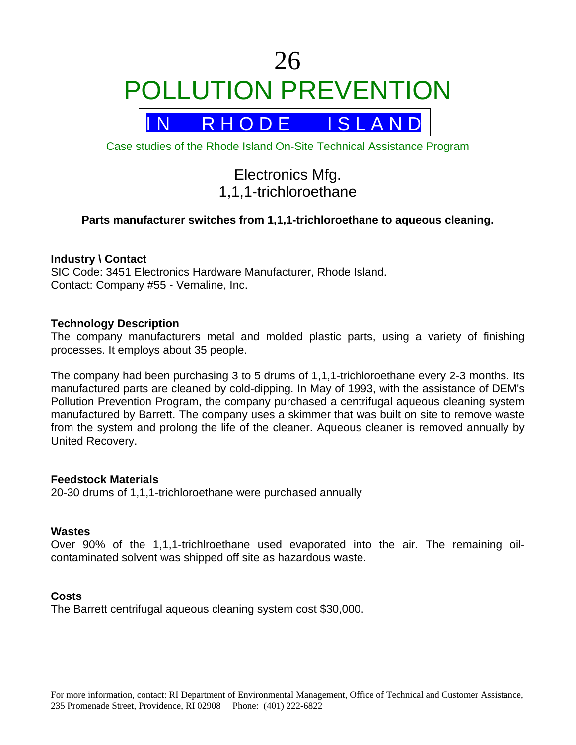# 26 POLLUTION PREVENTION



Case studies of the Rhode Island On-Site Technical Assistance Program

# Electronics Mfg. 1,1,1-trichloroethane

## **Parts manufacturer switches from 1,1,1-trichloroethane to aqueous cleaning.**

#### **Industry \ Contact**

SIC Code: 3451 Electronics Hardware Manufacturer, Rhode Island. Contact: Company #55 - Vemaline, Inc.

#### **Technology Description**

The company manufacturers metal and molded plastic parts, using a variety of finishing processes. It employs about 35 people.

The company had been purchasing 3 to 5 drums of 1,1,1-trichloroethane every 2-3 months. Its manufactured parts are cleaned by cold-dipping. In May of 1993, with the assistance of DEM's Pollution Prevention Program, the company purchased a centrifugal aqueous cleaning system manufactured by Barrett. The company uses a skimmer that was built on site to remove waste from the system and prolong the life of the cleaner. Aqueous cleaner is removed annually by United Recovery.

#### **Feedstock Materials**

20-30 drums of 1,1,1-trichloroethane were purchased annually

#### **Wastes**

Over 90% of the 1,1,1-trichlroethane used evaporated into the air. The remaining oilcontaminated solvent was shipped off site as hazardous waste.

### **Costs**

The Barrett centrifugal aqueous cleaning system cost \$30,000.